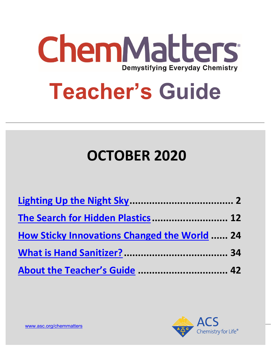

# **Teacher's Guide**

# **OCTOBER 2020**

| The Search for Hidden Plastics 12                   |  |
|-----------------------------------------------------|--|
| <b>How Sticky Innovations Changed the World  24</b> |  |
|                                                     |  |
| About the Teacher's Guide  42                       |  |

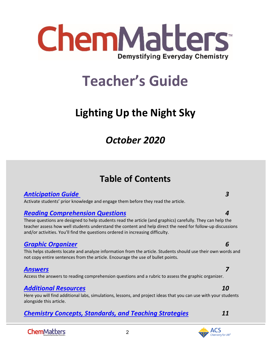

# **Teacher's Guide**

# <span id="page-1-0"></span>**Lighting Up the Night Sky**

# *October 2020*

# **Table of Contents**

# *[Anticipation Guide 3](#page-2-0)*

Activate students' prior knowledge and engage them before they read the article.

# *[Reading Comprehension Questions](#page-3-0) 4*

These questions are designed to help students read the article (and graphics) carefully. They can help the teacher assess how well students understand the content and help direct the need for follow-up discussions and/or activities. You'll find the questions ordered in increasing difficulty.

# *[Graphic Organizer](#page-4-0) 6*

This helps students locate and analyze information from the article. Students should use their own words and not copy entire sentences from the article. Encourage the use of bullet points.

# *[Answers](#page-6-0) 7*

Access the answers to reading comprehension questions and a rubric to assess the graphic organizer.

# *[Additional Resources](#page-9-0) 10*

Here you will find additional labs, simulations, lessons, and project ideas that you can use with your students alongside this article.

2

# *[Chemistry Concepts, Standards, and Teaching Strategies](#page-10-0) 11*

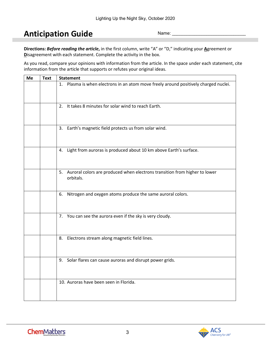# <span id="page-2-0"></span>**Anticipation Guide**

Name:

**Directions:** *Before reading the article***,** in the first column, write "A" or "D," indicating your **A**greement or **D**isagreement with each statement. Complete the activity in the box.

As you read, compare your opinions with information from the article. In the space under each statement, cite information from the article that supports or refutes your original ideas.

| Me | <b>Text</b> | <b>Statement</b>                                                                           |
|----|-------------|--------------------------------------------------------------------------------------------|
|    |             | 1. Plasma is when electrons in an atom move freely around positively charged nuclei.       |
|    |             | 2. It takes 8 minutes for solar wind to reach Earth.                                       |
|    |             | 3. Earth's magnetic field protects us from solar wind.                                     |
|    |             | 4. Light from auroras is produced about 10 km above Earth's surface.                       |
|    |             | 5. Auroral colors are produced when electrons transition from higher to lower<br>orbitals. |
|    |             | 6. Nitrogen and oxygen atoms produce the same auroral colors.                              |
|    |             | 7. You can see the aurora even if the sky is very cloudy.                                  |
|    |             | 8. Electrons stream along magnetic field lines.                                            |
|    |             | 9. Solar flares can cause auroras and disrupt power grids.                                 |
|    |             | 10. Auroras have been seen in Florida.                                                     |

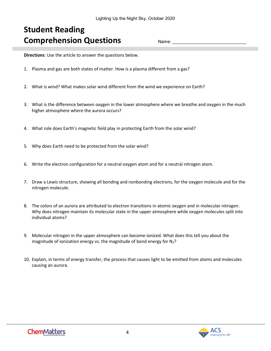# <span id="page-3-0"></span>**Student Reading Comprehension Questions**

Name:

**Directions**: Use the article to answer the questions below.

- 1. Plasma and gas are both states of matter. How is a plasma different from a gas?
- 2. What is wind? What makes solar wind different from the wind we experience on Earth?
- 3. What is the difference between oxygen in the lower atmosphere where we breathe and oxygen in the much higher atmosphere where the aurora occurs?
- 4. What role does Earth's magnetic field play in protecting Earth from the solar wind?
- 5. Why does Earth need to be protected from the solar wind?
- 6. Write the electron configuration for a neutral oxygen atom and for a neutral nitrogen atom.
- 7. Draw a Lewis structure, showing all bonding and nonbonding electrons, for the oxygen molecule and for the nitrogen molecule.
- 8. The colors of an aurora are attributed to electron transitions in atomic oxygen and in molecular nitrogen. Why does nitrogen maintain its molecular state in the upper atmosphere while oxygen molecules split into individual atoms?
- 9. Molecular nitrogen in the upper atmosphere can become ionized. What does this tell you about the magnitude of ionization energy vs. the magnitude of bond energy for  $N_2$ ?
- 10. Explain, in terms of energy transfer, the process that causes light to be emitted from atoms and molecules causing an aurora.

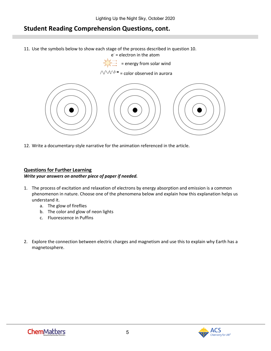# **Student Reading Comprehension Questions, cont.**

- 11. Use the symbols below to show each stage of the process described in question 10.
	- $e^-$  = electron in the atom
	- $\Rightarrow$  = energy from solar wind

# $\wedge$   $\vee$   $\vee$   $\rightarrow$  = color observed in aurora



12. Write a documentary-style narrative for the animation referenced in the article.

### **Questions for Further Learning**

#### *Write your answers on another piece of paper if needed.*

- 1. The process of excitation and relaxation of electrons by energy absorption and emission is a common phenomenon in nature. Choose one of the phenomena below and explain how this explanation helps us understand it.
	- a. The glow of fireflies
	- b. The color and glow of neon lights
	- c. Fluorescence in Puffins
- <span id="page-4-0"></span>2. Explore the connection between electric charges and magnetism and use this to explain why Earth has a magnetosphere.

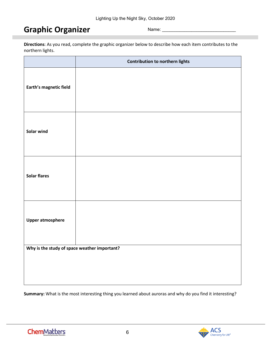# **Graphic Organizer**

Name:

**Directions**: As you read, complete the graphic organizer below to describe how each item contributes to the northern lights.

|                                              | <b>Contribution to northern lights</b> |
|----------------------------------------------|----------------------------------------|
| Earth's magnetic field                       |                                        |
| Solar wind                                   |                                        |
| <b>Solar flares</b>                          |                                        |
| <b>Upper atmosphere</b>                      |                                        |
| Why is the study of space weather important? |                                        |
|                                              |                                        |

**Summary:** What is the most interesting thing you learned about auroras and why do you find it interesting?

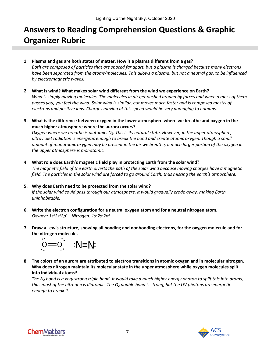# <span id="page-6-0"></span>**Answers to Reading Comprehension Questions & Graphic Organizer Rubric**

- **1. Plasma and gas are both states of matter. How is a plasma different from a gas?** *Both are composed of particles that are spaced far apart, but a plasma is charged because many electrons have been separated from the atoms/molecules. This allows a plasma, but not a neutral gas, to be influenced*
- **2. What is wind? What makes solar wind different from the wind we experience on Earth?** *Wind is simply moving molecules. The molecules in air get pushed around by forces and when a mass of them passes you, you feel the wind. Solar wind is similar, but moves much faster and is composed mostly of electrons and positive ions. Charges moving at this speed would be very damaging to humans.*
- **3. What is the difference between oxygen in the lower atmosphere where we breathe and oxygen in the much higher atmosphere where the aurora occurs?**

*Oxygen where we breathe is diatomic, O<sub>2</sub>. This is its natural state. However, in the upper atmosphere, ultraviolet radiation is energetic enough to break the bond and create atomic oxygen. Though a small amount of monatomic oxygen may be present in the air we breathe, a much larger portion of the oxygen in the upper atmosphere is monatomic.*

- **4. What role does Earth's magnetic field play in protecting Earth from the solar wind?** *The magnetic field of the earth diverts the path of the solar wind because moving charges have a magnetic field. The particles in the solar wind are forced to go around Earth, thus missing the earth's atmosphere.*
- **5. Why does Earth need to be protected from the solar wind?** *If the solar wind could pass through our atmosphere, it would gradually erode away, making Earth uninhabitable.*
- **6. Write the electron configuration for a neutral oxygen atom and for a neutral nitrogen atom.** *Oxygen: 1s2 2s2 2p4 Nitrogen: 1s2 2s2 2p3*
- **7. Draw a Lewis structure, showing all bonding and nonbonding electrons, for the oxygen molecule and for the nitrogen molecule.**



*by electromagnetic waves.*

**8. The colors of an aurora are attributed to electron transitions in atomic oxygen and in molecular nitrogen. Why does nitrogen maintain its molecular state in the upper atmosphere while oxygen molecules split into individual atoms?**

*The N2 bond is a very strong triple bond. It would take a much higher energy photon to split this into atoms, thus most of the nitrogen is diatomic. The O2 double bond is strong, but the UV photons are energetic enough to break it.*

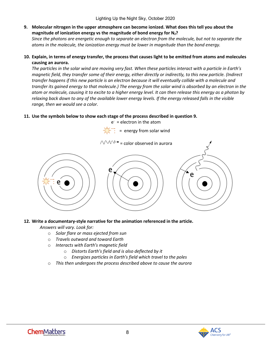**9. Molecular nitrogen in the upper atmosphere can become ionized. What does this tell you about the magnitude of ionization energy vs the magnitude of bond energy for N2?** 

*Since the photons are energetic enough to separate an electron from the molecule, but not to separate the atoms in the molecule, the ionization energy must be lower in magnitude than the bond energy.* 

**10. Explain, in terms of energy transfer, the process that causes light to be emitted from atoms and molecules causing an aurora.**

*The particles in the solar wind are moving very fast. When these particles interact with a particle in Earth's magnetic field, they transfer some of their energy, either directly or indirectly, to this new particle. (Indirect transfer happens if this new particle is an electron because it will eventually collide with a molecule and transfer its gained energy to that molecule.) The energy from the solar wind is absorbed by an electron in the atom or molecule, causing it to excite to a higher energy level. It can then release this energy as a photon by relaxing back down to any of the available lower energy levels. If the energy released falls in the visible range, then we would see a color.*

## **11. Use the symbols below to show each stage of the process described in question 9.**



### **12. Write a documentary-style narrative for the animation referenced in the article.**

*Answers will vary. Look for:*

- o *Solar flare or mass ejected from sun*
- o *Travels outward and toward Earth*
- o *Interacts with Earth's magnetic field*
	- o *Distorts Earth's field and is also deflected by it*
	- o *Energizes particles in Earth's field which travel to the poles*
- o *This then undergoes the process described above to cause the aurora*

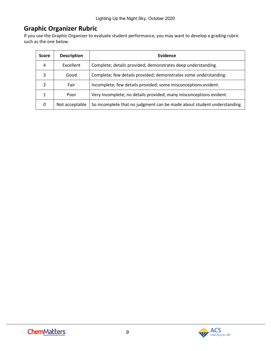# **Graphic Organizer Rubric**

If you use the Graphic Organizer to evaluate student performance, you may want to develop a grading rubric such as the one below.

| <b>Score</b> | <b>Description</b> | <b>Evidence</b>                                                        |
|--------------|--------------------|------------------------------------------------------------------------|
| 4            | Excellent          | Complete; details provided; demonstrates deep understanding.           |
| 3            | Good               | Complete; few details provided; demonstrates some understanding.       |
|              | Fair               | Incomplete; few details provided; some misconceptions evident.         |
|              | Poor               | Very incomplete; no details provided; many misconceptions evident.     |
| 0            | Not acceptable     | So incomplete that no judgment can be made about student understanding |

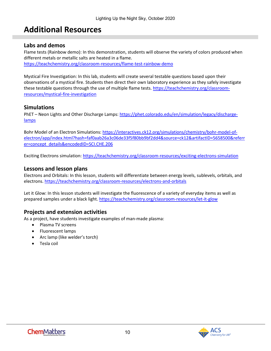# <span id="page-9-0"></span>**Additional Resources**

# **Labs and demos**

Flame tests (Rainbow demo): In this demonstration, students will observe the variety of colors produced when different metals or metallic salts are heated in a flame. <https://teachchemistry.org/classroom-resources/flame-test-rainbow-demo>

Mystical Fire Investigation: In this lab, students will create several testable questions based upon their observations of a mystical fire. Students then direct their own laboratory experience as they safely investigate these testable questions through the use of multiple flame tests[. https://teachchemistry.org/classroom](https://teachchemistry.org/classroom-resources/mystical-fire-investigation)[resources/mystical-fire-investigation](https://teachchemistry.org/classroom-resources/mystical-fire-investigation)

# **Simulations**

PhET – Neon Lights and Other Discharge Lamps: [https://phet.colorado.edu/en/simulation/legacy/discharge](https://phet.colorado.edu/en/simulation/legacy/discharge-lamps)[lamps](https://phet.colorado.edu/en/simulation/legacy/discharge-lamps)

Bohr Model of an Electron Simulations[: https://interactives.ck12.org/simulations/chemistry/bohr-model-of](https://interactives.ck12.org/simulations/chemistry/bohr-model-of-electron/app/index.html?hash=faf0aab26a3c06de33f5f80bb9bf2dd4&source=ck12&artifactID=5658500&referrer=concept_details&encodedID=SCI.CHE.206)[electron/app/index.html?hash=faf0aab26a3c06de33f5f80bb9bf2dd4&source=ck12&artifactID=5658500&referr](https://interactives.ck12.org/simulations/chemistry/bohr-model-of-electron/app/index.html?hash=faf0aab26a3c06de33f5f80bb9bf2dd4&source=ck12&artifactID=5658500&referrer=concept_details&encodedID=SCI.CHE.206) [er=concept\\_details&encodedID=SCI.CHE.206](https://interactives.ck12.org/simulations/chemistry/bohr-model-of-electron/app/index.html?hash=faf0aab26a3c06de33f5f80bb9bf2dd4&source=ck12&artifactID=5658500&referrer=concept_details&encodedID=SCI.CHE.206)

Exciting Electrons simulation:<https://teachchemistry.org/classroom-resources/exciting-electrons-simulation>

## **Lessons and lesson plans**

Electrons and Orbitals: In this lesson, students will differentiate between energy levels, sublevels, orbitals, and electrons.<https://teachchemistry.org/classroom-resources/electrons-and-orbitals>

Let it Glow: In this lesson students will investigate the fluorescence of a variety of everyday items as well as prepared samples under a black light.<https://teachchemistry.org/classroom-resources/let-it-glow>

# **Projects and extension activities**

As a project, have students investigate examples of man-made plasma:

- Plasma TV screens
- Fluorescent lamps
- Arc lamp (like welder's torch)
- Tesla coil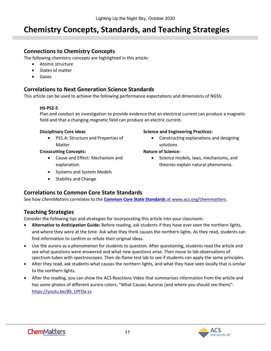# <span id="page-10-0"></span>**Chemistry Concepts, Standards, and Teaching Strategies**

# **Connections to Chemistry Concepts**

The following chemistry concepts are highlighted in this article:

- Atomic structure
- States of matter
- Gases

# **Correlations to Next Generation Science Standards**

This article can be used to achieve the following performance expectations and dimensions of NGSS:

### **HS-PS2-5**

Plan and conduct an investigation to provide evidence that an electrical current can produce a magnetic field and that a changing magnetic field can produce an electric current.

#### **Disciplinary Core Ideas**

• PS1.A: Structure and Properties of Matter

### **Crosscutting Concepts:**

- Cause and Effect: Mechanism and explanation.
- Systems and System Models
- Stability and Change

#### **Science and Engineering Practices:**

• Constructing explanations and designing solutions

### **Nature of Science:**

• Science models, laws, mechanisms, and theories explain natural phenomena.

# **Correlations to Common Core State Standards**

See how *ChemMatters* correlates to the **[Common Core State Standards](https://www.acs.org/content/acs/en/education/resources/highschool/chemmatters/teachers-guide.html)** at www.acs.org/chemmatters.

# **Teaching Strategies**

Consider the following tips and strategies for incorporating this article into your classroom:

- **Alternative to Anticipation Guide:** Before reading, ask students if they have ever seen the northern lights, and where they were at the time. Ask what they think causes the northern lights. As they read, students can find information to confirm or refute their original ideas.
- Use the aurora as a phenomenon for students to question. After questioning, students read the article and see what questions were answered and what new questions arise. Then move to lab observations of spectrum tubes with spectroscopes. Then do flame test lab to see if students can apply the same principles.
- After they read, ask students what causes the northern lights, and what they have seen locally that is similar to the northern lights.
- After the reading, you can show the ACS Reactions Video that summarizes information from the article and has some photos of different aurora colors: "What Causes Auroras (and where you should see them)": [https://youtu.be/8S\\_LPFOa-zs](https://youtu.be/8S_LPFOa-zs)

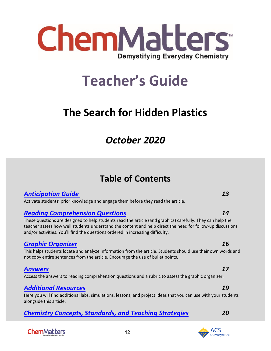

# **Teacher's Guide**

# <span id="page-11-0"></span>**The Search for Hidden Plastics**

# *October 2020*

# **Table of Contents**

# *[Anticipation Guide](#page-12-0) 13*

Activate students' prior knowledge and engage them before they read the article.

# *[Reading Comprehension Questions](#page-13-0) 14*

These questions are designed to help students read the article (and graphics) carefully. They can help the teacher assess how well students understand the content and help direct the need for follow-up discussions and/or activities. You'll find the questions ordered in increasing difficulty.

# *[Graphic Organizer](#page-14-0) 16*

This helps students locate and analyze information from the article. Students should use their own words and not copy entire sentences from the article. Encourage the use of bullet points.

# *[Answers](#page-16-0) 17*

Access the answers to reading comprehension questions and a rubric to assess the graphic organizer.

# *[Additional Resources](#page-18-0) 19*

Here you will find additional labs, simulations, lessons, and project ideas that you can use with your students alongside this article.

12

# *[Chemistry Concepts, Standards, and Teaching Strategies](#page-19-0) 20*

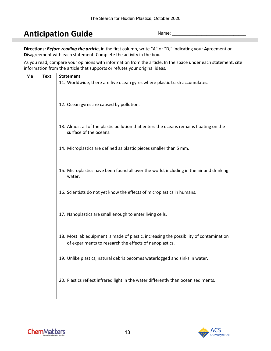# <span id="page-12-0"></span>**Anticipation Guide**

Name:

**Directions:** *Before reading the article***,** in the first column, write "A" or "D," indicating your **A**greement or **D**isagreement with each statement. Complete the activity in the box.

As you read, compare your opinions with information from the article. In the space under each statement, cite information from the article that supports or refutes your original ideas.

| Me | <b>Text</b> | <b>Statement</b>                                                                                                                                  |
|----|-------------|---------------------------------------------------------------------------------------------------------------------------------------------------|
|    |             | 11. Worldwide, there are five ocean gyres where plastic trash accumulates.                                                                        |
|    |             | 12. Ocean gyres are caused by pollution.                                                                                                          |
|    |             | 13. Almost all of the plastic pollution that enters the oceans remains floating on the<br>surface of the oceans.                                  |
|    |             | 14. Microplastics are defined as plastic pieces smaller than 5 mm.                                                                                |
|    |             | 15. Microplastics have been found all over the world, including in the air and drinking<br>water.                                                 |
|    |             | 16. Scientists do not yet know the effects of microplastics in humans.                                                                            |
|    |             | 17. Nanoplastics are small enough to enter living cells.                                                                                          |
|    |             | 18. Most lab equipment is made of plastic, increasing the possibility of contamination<br>of experiments to research the effects of nanoplastics. |
|    |             | 19. Unlike plastics, natural debris becomes waterlogged and sinks in water.                                                                       |
|    |             | 20. Plastics reflect infrared light in the water differently than ocean sediments.                                                                |

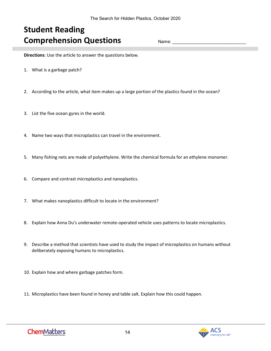# <span id="page-13-0"></span>**Student Reading Comprehension Questions**

Name:

**Directions**: Use the article to answer the questions below.

- 1. What is a garbage patch?
- 2. According to the article, what item makes up a large portion of the plastics found in the ocean?
- 3. List the five ocean gyres in the world.
- 4. Name two ways that microplastics can travel in the environment.
- 5. Many fishing nets are made of polyethylene. Write the chemical formula for an ethylene monomer.
- 6. Compare and contrast microplastics and nanoplastics.
- 7. What makes nanoplastics difficult to locate in the environment?
- 8. Explain how Anna Du's underwater remote-operated vehicle uses patterns to locate microplastics.
- 9. Describe a method that scientists have used to study the impact of microplastics on humans without deliberately exposing humans to microplastics.
- 10. Explain how and where garbage patches form.
- 11. Microplastics have been found in honey and table salt. Explain how this could happen.

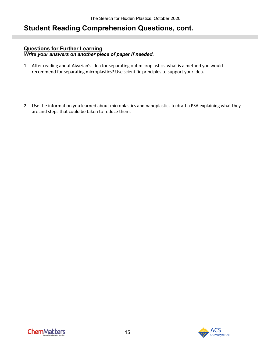# **Student Reading Comprehension Questions, cont.**

# **Questions for Further Learning**

*Write your answers on another piece of paper if needed.*

- 1. After reading about Aivazian's idea for separating out microplastics, what is a method you would recommend for separating microplastics? Use scientific principles to support your idea.
- <span id="page-14-0"></span>2. Use the information you learned about microplastics and nanoplastics to draft a PSA explaining what they are and steps that could be taken to reduce them.

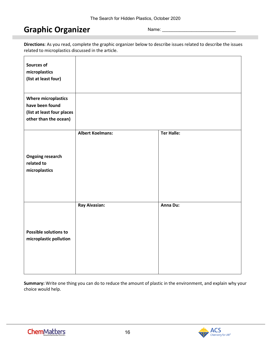# **Graphic Organizer**

Name:

**Directions**: As you read, complete the graphic organizer below to describe issues related to describe the issues related to microplastics discussed in the article.

| <b>Sources of</b><br>microplastics<br>(list at least four)                                           |                         |                   |
|------------------------------------------------------------------------------------------------------|-------------------------|-------------------|
| <b>Where microplastics</b><br>have been found<br>(list at least four places<br>other than the ocean) |                         |                   |
| <b>Ongoing research</b><br>related to<br>microplastics                                               | <b>Albert Koelmans:</b> | <b>Ter Halle:</b> |
| Possible solutions to<br>microplastic pollution                                                      | <b>Ray Aivasian:</b>    | Anna Du:          |

**Summary:** Write one thing you can do to reduce the amount of plastic in the environment, and explain why your choice would help.

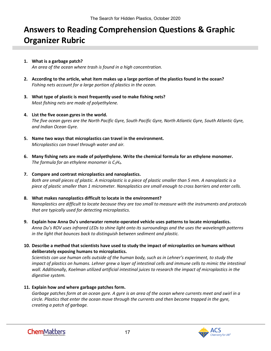# <span id="page-16-0"></span>**Answers to Reading Comprehension Questions & Graphic Organizer Rubric**

#### **1. What is a garbage patch?** *An area of the ocean where trash is found in a high concentration.*

- **2. According to the article, what item makes up a large portion of the plastics found in the ocean?** *Fishing nets account for a large portion of plastics in the ocean.*
- **3. What type of plastic is most frequently used to make fishing nets?**  *Most fishing nets are made of polyethylene.*
- **4. List the five ocean gyres in the world.** *The five ocean gyres are the North Pacific Gyre, South Pacific Gyre, North Atlantic Gyre, South Atlantic Gyre, and Indian Ocean Gyre.*
- **5. Name two ways that microplastics can travel in the environment.** *Microplastics can travel through water and air.*
- **6. Many fishing nets are made of polyethylene. Write the chemical formula for an ethylene monomer.** *The formula for an ethylene monomer is C2H4.*
- **7. Compare and contrast microplastics and nanoplastics.** *Both are small pieces of plastic. A microplastic is a piece of plastic smaller than 5 mm. A nanoplastic is a piece of plastic smaller than 1 micrometer. Nanoplastics are small enough to cross barriers and enter cells.*
- **8. What makes nanoplastics difficult to locate in the environment?** *Nanoplastics are difficult to locate because they are too small to measure with the instruments and protocols that are typically used for detecting microplastics.*
- **9. Explain how Anna Du's underwater remote-operated vehicle uses patterns to locate microplastics.** *Anna Du's ROV uses infrared LEDs to shine light onto its surroundings and the uses the wavelength patterns in the light that bounces back to distinguish between sediment and plastic.*
- **10. Describe a method that scientists have used to study the impact of microplastics on humans without deliberately exposing humans to microplastics.**

*Scientists can use human cells outside of the human body, such as in Lehner's experiment, to study the impact of plastics on humans. Lehner grew a layer of intestinal cells and immune cells to mimic the intestinal* wall. Additionally, Koelman utilized artificial intestinal juices to research the impact of microplastics in the *digestive system.*

**11. Explain how and where garbage patches form.**

*Garbage patches form at an ocean gyre. A gyre is an area of the ocean where currents meet and swirl in a circle. Plastics that enter the ocean move through the currents and then become trapped in the gyre, creating a patch of garbage.*

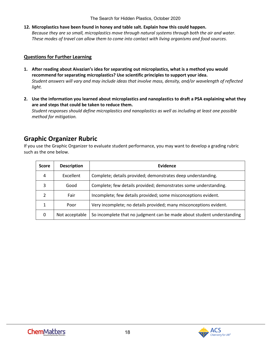The Search for Hidden Plastics, October 2020

**12. Microplastics have been found in honey and table salt. Explain how this could happen.** *Because they are so small, microplastics move through natural systems through both the air and water. These modes of travel can allow them to come into contact with living organisms and food sources.*

### **Questions for Further Learning**

- **1. After reading about Aivazian's idea for separating out microplastics, what is a method you would recommend for separating microplastics? Use scientific principles to support your idea.** *Student answers will vary and may include ideas that involve mass, density, and/or wavelength of reflected light.*
- **2. Use the information you learned about microplastics and nanoplastics to draft a PSA explaining what they are and steps that could be taken to reduce them.** *Student responses should define microplastics and nanoplastics as well as including at least one possible method for mitigation.*

# **Graphic Organizer Rubric**

If you use the Graphic Organizer to evaluate student performance, you may want to develop a grading rubric such as the one below.

| <b>Score</b> | <b>Description</b> | Evidence                                                               |
|--------------|--------------------|------------------------------------------------------------------------|
| 4            | Excellent          | Complete; details provided; demonstrates deep understanding.           |
| 3            | Good               | Complete; few details provided; demonstrates some understanding.       |
|              | Fair               | Incomplete; few details provided; some misconceptions evident.         |
|              | Poor               | Very incomplete; no details provided; many misconceptions evident.     |
| 0            | Not acceptable     | So incomplete that no judgment can be made about student understanding |

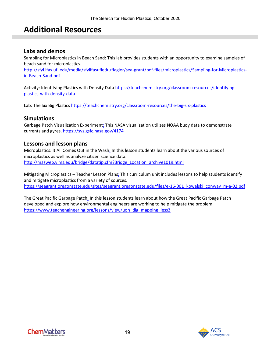# <span id="page-18-0"></span>**Additional Resources**

## **Labs and demos**

Sampling for Microplastics in Beach Sand: This lab provides students with an opportunity to examine samples of beach sand for microplastics.

[http://sfyl.ifas.ufl.edu/media/sfylifasufledu/flagler/sea-grant/pdf-files/microplastics/Sampling-for-Microplastics](http://sfyl.ifas.ufl.edu/media/sfylifasufledu/flagler/sea-grant/pdf-files/microplastics/Sampling-for-Microplastics-in-Beach-Sand.pdf)[in-Beach-Sand.pdf](http://sfyl.ifas.ufl.edu/media/sfylifasufledu/flagler/sea-grant/pdf-files/microplastics/Sampling-for-Microplastics-in-Beach-Sand.pdf)

Activity: Identifying Plastics with Density Data [https://teachchemistry.org/classroom-resources/identifying](https://teachchemistry.org/classroom-resources/identifying-plastics-with-density-data)[plastics-with-density-data](https://teachchemistry.org/classroom-resources/identifying-plastics-with-density-data)

Lab: The Six Big Plastic[s https://teachchemistry.org/classroom-resources/the-big-six-plastics](https://teachchemistry.org/classroom-resources/the-big-six-plastics)

### **Simulations**

Garbage Patch Visualization Experiment: This NASA visualization utilizes NOAA buoy data to demonstrate currents and gyres.<https://svs.gsfc.nasa.gov/4174>

### **Lessons and lesson plans**

Microplastics: It All Comes Out in the Wash: In this lesson students learn about the various sources of microplastics as well as analyze citizen science data. [http://masweb.vims.edu/bridge/datatip.cfm?Bridge\\_Location=archive1019.html](http://masweb.vims.edu/bridge/datatip.cfm?Bridge_Location=archive1019.html)

Mitigating Microplastics – Teacher Lesson Plans: This curriculum unit includes lessons to help students identify and mitigate microplastics from a variety of sources. [https://seagrant.oregonstate.edu/sites/seagrant.oregonstate.edu/files/e-16-001\\_kowalski\\_conway\\_m-a-02.pdf](https://seagrant.oregonstate.edu/sites/seagrant.oregonstate.edu/files/e-16-001_kowalski_conway_m-a-02.pdf)

The Great Pacific Garbage Patch: In this lesson students learn about how the Great Pacific Garbage Patch developed and explore how environmental engineers are working to help mitigate the problem. [https://www.teachengineering.org/lessons/view/uoh\\_dig\\_mapping\\_less3](https://www.teachengineering.org/lessons/view/uoh_dig_mapping_less3)

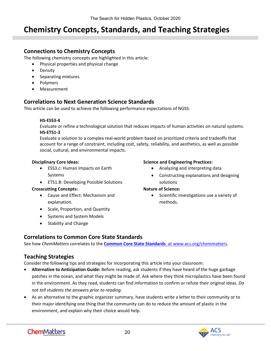# <span id="page-19-0"></span>**Chemistry Concepts, Standards, and Teaching Strategies**

# **Connections to Chemistry Concepts**

The following chemistry concepts are highlighted in this article:

- Physical properties and physical change
- Density
- Separating mixtures
- Polymers
- Measurement

# **Correlations to Next Generation Science Standards**

This article can be used to achieve the following performance expectations of NGSS:

### **HS-ESS3-4**

Evaluate or refine a technological solution that reduces impacts of human activities on natural systems. **HS-ETS1-3** 

Evaluate a solution to a complex real-world problem based on prioritized criteria and tradeoffs that account for a range of constraint, including cost, safety, reliability, and aesthetics, as well as possible social, cultural, and environmental impacts.

### **Disciplinary Core Ideas:**

- ESS3.c: Human Impacts on Earth Systems
- ETS1.B: Developing Possible Solutions

### **Crosscutting Concepts:**

- Cause and Effect: Mechanism and explanation.
- Scale, Proportion, and Quantity
- Systems and System Models
- Stability and Change

### **Science and Engineering Practices:**

- Analyzing and interpreting data
- Constructing explanations and designing solutions

## **Nature of Science:**

• Scientific investigations use a variety of methods.

# **Correlations to Common Core State Standards**

See how *ChemMatters* correlates to the **[Common Core State Standards](https://www.acs.org/content/acs/en/education/resources/highschool/chemmatters/teachers-guide.html)** at www.acs.org/chemmatters.

# **Teaching Strategies**

Consider the following tips and strategies for incorporating this article into your classroom:

- **Alternative to Anticipation Guide:** Before reading, ask students if they have heard of the huge garbage patches in the ocean, and what they might be made of. Ask where they think microplastics have been found in the environment. As they read, students can find information to confirm or refute their original ideas. *Do not tell students the answers prior to reading.*
- As an alternative to the graphic organizer summary, have students write a letter to their community or to their major identifying one thing that the community can do to reduce the amount of plastic in the environment, and explain why their choice would help.

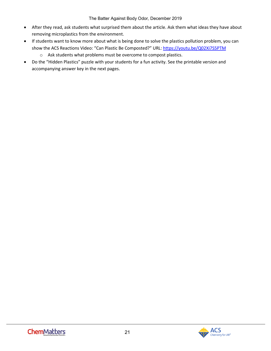- After they read, ask students what surprised them about the article. Ask them what ideas they have about removing microplastics from the environment.
- If students want to know more about what is being done to solve the plastics pollution problem, you can show the ACS Reactions Video: "Can Plastic Be Composted?" URL:<https://youtu.be/Q02Xi7S5PTM>
	- o Ask students what problems must be overcome to compost plastics.
- Do the "Hidden Plastics" puzzle with your students for a fun activity. See the printable version and accompanying answer key in the next pages.

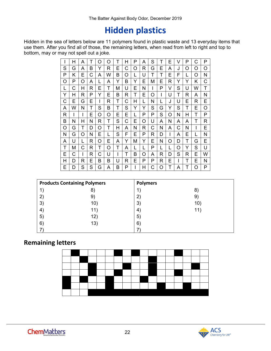# **Hidden plastics**

Hidden in the sea of letters below are 11 polymers found in plastic waste and 13 everyday items that use them. After you find all of those, the remaining letters, when read from left to right and top to bottom, may or may not spell out a joke.

|   | Н | A | T | O | O | T | н | P | A | S | т | E | V | Ρ | С | P |
|---|---|---|---|---|---|---|---|---|---|---|---|---|---|---|---|---|
| S | G | A | B | Y | R | E | С | O | R | G | E | A | J | O | O | O |
| Р | Κ | E | С | A | W | B | O | L | U | T | т | Е | F | L | O | Ν |
| O | P | O | A | L | A | Υ | B | Y | E | Μ | E | R | Y | Y | Κ | С |
| L | C | Н | R | E | Т | M | U | E | N | I | Ρ | V | S | U | W | Τ |
| Y | Н | R | Ρ | Y | Е | B | R | Т | E | O | I | U | Т | R | A | N |
| С | Е | G | E | I | R | Т | С | Н | L | Ν | L | J | U | Е | R | Е |
| A | W | N | T | S | в | Τ | S | Y | Y | S | G | Y | S | Т | Е | Ο |
| R | I | I | E | O | O | E | E | L | P | P | S | Ω | N | Н | Т | P |
| B | Ν | H | Ν | R | т | S | С | E | O | U | A | N | A | A | т | R |
| O | G | Т | D | Ω | Т | Н | A | N | R | C | N | A | C | Ν | I | E |
| N | G | O | Ν | Е |   | S | F | E | P | R | D |   | A | E |   | N |
| A | U | L | R | O | Е | A | Y | М | Y | E | N | O | D | т | G | E |
| Т | M | С | R | Т | O | Τ | A | L | L | Ρ | L | L | O | Y | S | U |
| Е | С | I | R | С | U | I | Т | В | O | A | R | D | S | R | E | W |
| Н | D | R | Е | B | B | U | R | E | P | P | R | Е |   | Т | Е | N |
| E | D | S | S | G | A | в | P | I | Н | C | Ο |   | A | Τ | O | P |

|                | <b>Products Containing Polymers</b> | <b>Polymers</b>      |     |
|----------------|-------------------------------------|----------------------|-----|
|                | 8                                   |                      | 8)  |
|                | $9^{\circ}$                         | $2^{\circ}$          | 9)  |
| 3              | 10)                                 | 3)                   | 10) |
| 4 <sub>1</sub> | 11)                                 | $\mathbf{4}^{\cdot}$ | 11) |
| 5)             | 12)                                 | $5^{\circ}$          |     |
| $6^{\circ}$    | 13)                                 | $6^{\circ}$          |     |
|                |                                     |                      |     |

# **Remaining letters**

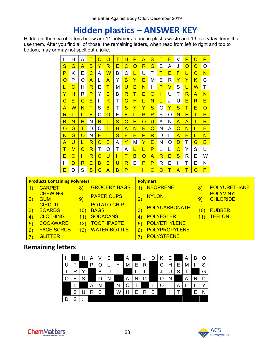# **Hidden plastics – ANSWER KEY**

Hidden in the sea of letters below are 11 polymers found in plastic waste and 13 everyday items that use them. After you find all of those, the remaining letters, when read from left to right and top to bottom, may or may not spell out a joke.

| I      | н  | A | Τ      | O | O                       | T                       | н                       | P | A | $\overline{\mathbf{s}}$ | Τ                       | E | V            | P            | C         | P        |
|--------|----|---|--------|---|-------------------------|-------------------------|-------------------------|---|---|-------------------------|-------------------------|---|--------------|--------------|-----------|----------|
| S      | G  | A | в      | Y | R                       | E                       | $\overline{C}$          | O | R | G                       | E                       | A | J            | O            | O         | O        |
| P      | Κ  | E | C      | A | $\overline{\mathsf{W}}$ | B                       | O                       |   | U | T                       | Τ                       | E | F            | L            | O         | N        |
| O      | P  | Ω | A      | L | A                       | Y                       | B                       | Y | E | M                       | E                       | R | Y            | Y            | Κ         | С        |
| L      | С  | н | R      | E | T                       | M                       | U                       | Ē | N |                         | P                       | V | S            | $\mathbf{U}$ | ${\sf W}$ | Т        |
| Y      | н  | R | P      | Y | Ē                       | B                       | R                       | T | Ē | $\Omega$                | L                       | U | Т            | R            | A         | N        |
| С      | E. | G | Е      |   | R                       | Τ                       | $\overline{\text{C}}$   | н | L | N                       | L                       | J | U            | E            | R.        | E        |
| A      | W  | N | $\top$ | S | B                       | T                       | S                       | Ÿ | Y | $\overline{\mathbf{s}}$ | G                       | Y | $\mathbf{s}$ | Τ            | E         | $\Omega$ |
| R      | г  | L | E      | Ο | $\mathsf O$             | E                       | Ē                       | L | P | P                       | S                       | Ω | N            | н            | Τ         | P        |
| в      | N  | н | N      | R | Τ                       | S                       | $\overline{\mathsf{C}}$ | E | O | U                       | A                       | N | A            | A            | Τ         | R        |
| O      | G  | Τ | D      | O | Τ                       | Н                       | A                       | N | R | С                       | N                       | A | C            | N            |           | E        |
| N      | G  | O | N      | E | L                       | $\overline{\mathbf{s}}$ | F                       | E | P | R                       | D                       |   | A            | E            | L         | N        |
| A      | U  | L | R      | O | E                       | A                       | Ÿ                       | Μ | Ÿ | E                       | N                       | O | D            | Τ            | G         | E        |
| $\top$ | M  | С | R      | Τ | O                       | Т                       | A                       | L | L | P                       | L                       | L | $\Omega$     | Y            | S         | U        |
| E      | C  | L | R      | С | U                       | L                       | Τ                       | B | O | A                       | $\overline{\mathsf{R}}$ | D | S            | R            | Е         | W        |
| н      | D  | R | Е      | в | в                       | U                       | R                       | E | P | P                       | R                       | Е |              | Τ            | Е         | N        |
| E      | D  | S | S      | G | A                       | B                       | P                       |   | Н | Ċ                       | O                       | т | A            | Τ            | O         | P        |

|              | <b>Products Containing Polymers</b> |                   |                                   | <b>Polymers</b>  |                      |     |                                     |  |  |  |
|--------------|-------------------------------------|-------------------|-----------------------------------|------------------|----------------------|-----|-------------------------------------|--|--|--|
|              | <b>CARPET</b>                       | $\left( 8\right)$ | <b>GROCERY BAGS</b>               |                  | <b>NEOPRENE</b>      |     | <b>POLYURETHANE</b>                 |  |  |  |
| $\bf{2)}$    | <b>CHEWING</b><br><b>GUM</b>        | 9)                | <b>PAPER CUPS</b>                 |                  | <b>NYLON</b>         | 9   | <b>POLYVINYL</b><br><b>CHLORIDE</b> |  |  |  |
| $\mathbf{3}$ | <b>CIRCUIT</b><br><b>BOARDS</b>     | 10)               | <b>POTATO CHIP</b><br><b>BAGS</b> | $\vert 3\rangle$ | POLYCARBONATE        | 10) | <b>RUBBER</b>                       |  |  |  |
| 4            | <b>CLOTHING</b>                     |                   | <b>SODACANS</b>                   |                  | <b>POLYESTER</b>     |     | <b>TEFLON</b>                       |  |  |  |
| $\sqrt{5}$   | <b>COOKWARE</b>                     |                   | <b>TOOTHPASTE</b>                 | $\overline{5}$   | <b>POLYETHYLENE</b>  |     |                                     |  |  |  |
| $6^{\circ}$  | <b>FACE SCRUB</b>                   | 13)               | <b>WATER BOTTLE</b>               | 6)               | <b>POLYPROPYLENE</b> |     |                                     |  |  |  |
|              | <b>GLITTER</b>                      |                   |                                   |                  | <b>POLYSTRENE</b>    |     |                                     |  |  |  |

# **Remaining letters**

|   |   | Н | A | V | F |   | A |   | J            |   | Κ | Е |   | A | В |   |
|---|---|---|---|---|---|---|---|---|--------------|---|---|---|---|---|---|---|
| U |   |   | P | O |   | ∨ | M | Ε | $\mathsf{R}$ |   | С | Н | E | M |   | S |
|   | R | Υ |   | B | U |   |   |   |              |   | J | U | S |   |   | G |
| ∩ | Ε | S |   | O | Ν |   | Α | N | D            |   | Ω | N |   | Α |   |   |
|   |   |   | Α | Μ |   | Ν | O |   |              |   |   |   | Α |   |   |   |
|   | S |   | R | E |   | W |   | E | R            | E |   |   |   |   | Ε |   |
| D | ິ |   |   |   |   |   |   |   |              |   |   |   |   |   |   |   |

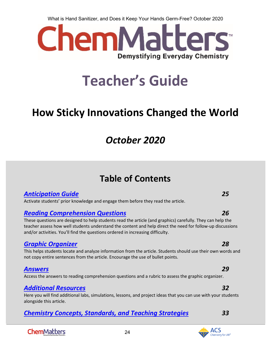What is Hand Sanitizer, and Does it Keep Your Hands Germ-Free? October 2020



# **Teacher's Guide**

# <span id="page-23-0"></span>**How Sticky Innovations Changed the World**

# *October 2020*

# **Table of Contents**

# *[Anticipation Guide](#page-24-0) 25*

Activate students' prior knowledge and engage them before they read the article.

# *[Reading Comprehension Questions](#page-25-0) 26*

These questions are designed to help students read the article (and graphics) carefully. They can help the teacher assess how well students understand the content and help direct the need for follow-up discussions and/or activities. You'll find the questions ordered in increasing difficulty.

# *[Graphic Organizer](#page-27-0) 28*

This helps students locate and analyze information from the article. Students should use their own words and not copy entire sentences from the article. Encourage the use of bullet points.

# *[Answers](#page-28-0) 29*

Access the answers to reading comprehension questions and a rubric to assess the graphic organizer.

# *[Additional Resources](#page-31-0) 32*

Here you will find additional labs, simulations, lessons, and project ideas that you can use with your students alongside this article.

24

# *[Chemistry Concepts, Standards, and Teaching Strategies](#page-32-0) 33*

# **ChemMatters**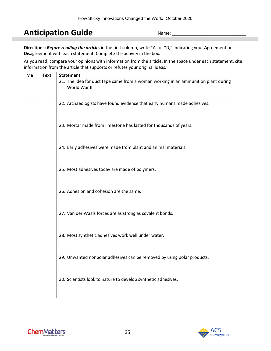# <span id="page-24-0"></span>**Anticipation Guide**

Name:

**Directions:** *Before reading the article***,** in the first column, write "A" or "D," indicating your **A**greement or **D**isagreement with each statement. Complete the activity in the box.

As you read, compare your opinions with information from the article. In the space under each statement, cite information from the article that supports or refutes your original ideas.

| Me | <b>Text</b> | <b>Statement</b>                                                                                    |
|----|-------------|-----------------------------------------------------------------------------------------------------|
|    |             | 21. The idea for duct tape came from a woman working in an ammunition plant during<br>World War II. |
|    |             | 22. Archaeologists have found evidence that early humans made adhesives.                            |
|    |             | 23. Mortar made from limestone has lasted for thousands of years.                                   |
|    |             | 24. Early adhesives were made from plant and animal materials.                                      |
|    |             | 25. Most adhesives today are made of polymers.                                                      |
|    |             | 26. Adhesion and cohesion are the same.                                                             |
|    |             | 27. Van der Waals forces are as strong as covalent bonds.                                           |
|    |             | 28. Most synthetic adhesives work well under water.                                                 |
|    |             | 29. Unwanted nonpolar adhesives can be removed by using polar products.                             |
|    |             | 30. Scientists look to nature to develop synthetic adhesives.                                       |

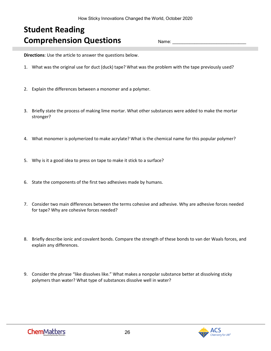# <span id="page-25-0"></span>**Student Reading Comprehension Questions**

Name:

**Directions**: Use the article to answer the questions below.

- 1. What was the original use for duct (duck) tape? What was the problem with the tape previously used?
- 2. Explain the differences between a monomer and a polymer.
- 3. Briefly state the process of making lime mortar. What other substances were added to make the mortar stronger?
- 4. What monomer is polymerized to make acrylate? What is the chemical name for this popular polymer?
- 5. Why is it a good idea to press on tape to make it stick to a surface?
- 6. State the components of the first two adhesives made by humans.
- 7. Consider two main differences between the terms cohesive and adhesive. Why are adhesive forces needed for tape? Why are cohesive forces needed?
- 8. Briefly describe ionic and covalent bonds. Compare the strength of these bonds to van der Waals forces, and explain any differences.
- 9. Consider the phrase "like dissolves like." What makes a nonpolar substance better at dissolving sticky polymers than water? What type of substances dissolve well in water?

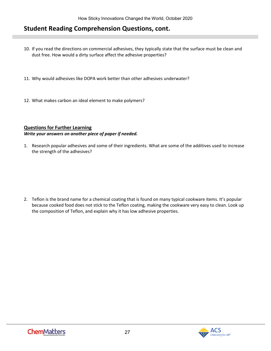# **Student Reading Comprehension Questions, cont.**

- 10. If you read the directions on commercial adhesives, they typically state that the surface must be clean and dust free. How would a dirty surface affect the adhesive properties?
- 11. Why would adhesives like DOPA work better than other adhesives underwater?
- 12. What makes carbon an ideal element to make polymers?

### **Questions for Further Learning**  *Write your answers on another piece of paper if needed.*

1. Research popular adhesives and some of their ingredients. What are some of the additives used to increase the strength of the adhesives?

2. Teflon is the brand name for a chemical coating that is found on many typical cookware items. It's popular because cooked food does not stick to the Teflon coating, making the cookware very easy to clean. Look up the composition of Teflon, and explain why it has low adhesive properties.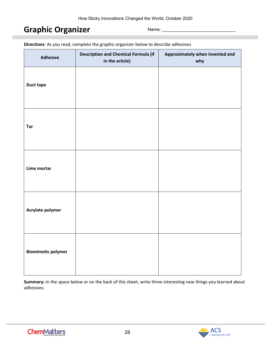# <span id="page-27-0"></span>**Graphic Organizer**

Name:

| <b>Adhesive</b>           | <b>Description and Chemical Formula (if</b><br>in the article) | Approximately when invented and<br>why |
|---------------------------|----------------------------------------------------------------|----------------------------------------|
| <b>Duct tape</b>          |                                                                |                                        |
| Tar                       |                                                                |                                        |
| Lime mortar               |                                                                |                                        |
| Acrylate polymer          |                                                                |                                        |
| <b>Biomimetic polymer</b> |                                                                |                                        |

**Directions**: As you read, complete the graphic organizer below to describe adhesives

**Summary:** In the space below or on the back of this sheet, write three interesting new things you learned about adhesives.

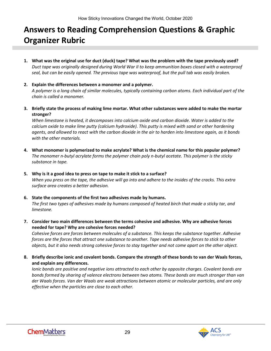# <span id="page-28-0"></span>**Answers to Reading Comprehension Questions & Graphic Organizer Rubric**

- **1. What was the original use for duct (duck) tape? What was the problem with the tape previously used?** *Duct tape was originally designed during World War II to keep ammunition boxes closed with a waterproof seal, but can be easily opened. The previous tape was waterproof, but the pull tab was easily broken.*
- **2. Explain the differences between a monomer and a polymer.** *A polymer is a long chain of similar molecules, typically containing carbon atoms. Each individual part of the chain is called a monomer.*
- **3. Briefly state the process of making lime mortar. What other substances were added to make the mortar stronger?**

*When limestone is heated, it decomposes into calcium oxide and carbon dioxide. Water is added to the calcium oxide to make lime putty (calcium hydroxide). This putty is mixed with sand or other hardening agents, and allowed to react with the carbon dioxide in the air to harden into limestone again, as it bonds with the other materials.*

- **4. What monomer is polymerized to make acrylate? What is the chemical name for this popular polymer?** *The monomer n-butyl acrylate forms the polymer chain poly n-butyl acetate. This polymer is the sticky substance in tape.*
- **5. Why is it a good idea to press on tape to make it stick to a surface?** *When you press on the tape, the adhesive will go into and adhere to the insides of the cracks. This extra surface area creates a better adhesion.*
- **6. State the components of the first two adhesives made by humans.** *The first two types of adhesives made by humans composed of heated birch that made a sticky tar, and limestone.*
- **7. Consider two main differences between the terms cohesive and adhesive. Why are adhesive forces needed for tape? Why are cohesive forces needed?**

*Cohesive forces are forces between molecules of a substance. This keeps the substance together. Adhesive forces are the forces that attract one substance to another. Tape needs adhesive forces to stick to other objects, but it also needs strong cohesive forces to stay together and not come apart on the other object.*

**8. Briefly describe ionic and covalent bonds. Compare the strength of these bonds to van der Waals forces, and explain any differences.**

*Ionic bonds are positive and negative ions attracted to each other by opposite charges. Covalent bonds are bonds formed by sharing of valence electrons between two atoms. These bonds are much stronger than van der Waals forces. Van der Waals are weak attractions between atomic or molecular particles, and are only effective when the particles are close to each other.*

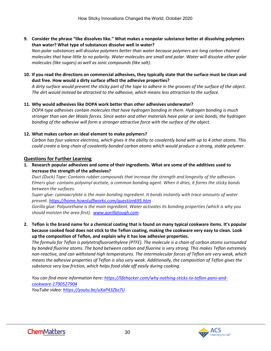**9. Consider the phrase "like dissolves like." What makes a nonpolar substance better at dissolving polymers than water? What type of substances dissolve well in water?**

*Non-polar substances will dissolve polymers better than water because polymers are long carbon chained molecules that have little to no polarity. Water molecules are small and polar. Water will dissolve other polar molecules (like sugars) as well as ionic compounds (like salt).*

**10. If you read the directions on commercial adhesives, they typically state that the surface must be clean and dust free. How would a dirty surface affect the adhesive properties?**

*A dirty surface would prevent the sticky part of the tape to adhere in the grooves of the surface of the object. The dirt would instead be attracted to the adhesive, which means less attraction to the surface.*

#### **11. Why would adhesives like DOPA work better than other adhesives underwater?**

*DOPA type adhesives contain molecules that have hydrogen bonding in them. Hydrogen bonding is much stronger than van der Waals forces. Since water and other materials have polar or ionic bonds, the hydrogen bonding of the adhesive will form a stronger attractive force with the surface of the object.*

#### **12. What makes carbon an ideal element to make polymers?**

*Carbon has four valence electrons, which gives it the ability to covalently bond with up to 4 other atoms. This could create a long chain of covalently bonded carbon atoms which would produce a strong, stable polymer.*

#### **Questions for Further Learning**

**1. Research popular adhesives and some of their ingredients. What are some of the additives used to increase the strength of the adhesives?**

*Duct (Duck) Tape: Contains rubber compounds that increase the strength and longevity of the adhesion. Elmers glue: contains polyvinyl acetate, a common bonding agent. When it dries, it forms the sticky bonds between the surfaces.*

*Super glue: cyanoacrylate is the main bonding ingredient. It bonds instantly with trace amounts of water present.<https://home.howstuffworks.com/question695.htm>*

*Gorilla glue: Polyurethane is the main ingredient. Water activates its bonding properties (which is why you should moisten the area first). [www.gorillatough.com](http://www.gorillatough.com/)* 

**2. Teflon is the brand name for a chemical coating that is found on many typical cookware items. It's popular because cooked food does not stick to the Teflon coating, making the cookware very easy to clean. Look up the composition of Teflon, and explain why it has low adhesive properties.**

*The formula for Teflon is polytetrafluoroethylene (PTFE). The molecule is a chain of carbon atoms surrounded by bonded fluorine atoms. The bond between carbon and fluorine is very strong. This makes Teflon extremely non-reactive, and can withstand high temperatures. The intermolecular forces of Teflon are very weak, which means the adhesive properties of Teflon is also very weak. Additionally, the composition of Teflon gives the substance very low friction, which helps food slide off easily during cooking.*

*You can find more information here[: https://lifehacker.com/why-nothing-sticks-to-teflon-pans-and](https://lifehacker.com/why-nothing-sticks-to-teflon-pans-and-cookware-1790527904)[cookware-1790527904](https://lifehacker.com/why-nothing-sticks-to-teflon-pans-and-cookware-1790527904) YouTube video[: https://youtu.be/uXaP43Zbz7U](https://youtu.be/uXaP43Zbz7U)*

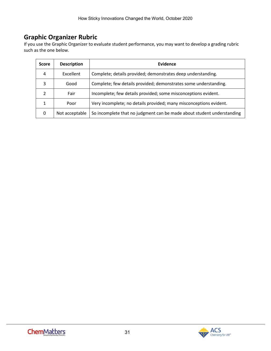# **Graphic Organizer Rubric**

If you use the Graphic Organizer to evaluate student performance, you may want to develop a grading rubric such as the one below.

| <b>Score</b>   | <b>Description</b> | Evidence                                                               |  |  |  |  |
|----------------|--------------------|------------------------------------------------------------------------|--|--|--|--|
| 4              | Excellent          | Complete; details provided; demonstrates deep understanding.           |  |  |  |  |
| 3              | Good               | Complete; few details provided; demonstrates some understanding.       |  |  |  |  |
| $\mathfrak{p}$ | Fair               | Incomplete; few details provided; some misconceptions evident.         |  |  |  |  |
| 1              | Poor               | Very incomplete; no details provided; many misconceptions evident.     |  |  |  |  |
| 0              | Not acceptable     | So incomplete that no judgment can be made about student understanding |  |  |  |  |

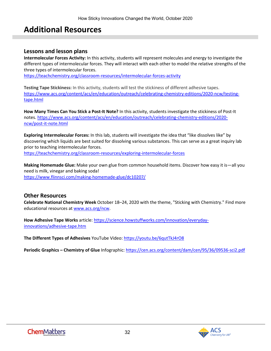# <span id="page-31-0"></span>**Additional Resources**

### **Lessons and lesson plans**

**Intermolecular Forces Activity:** In this activity, students will represent molecules and energy to investigate the different types of intermolecular forces. They will interact with each other to model the relative strengths of the three types of intermolecular forces.

<https://teachchemistry.org/classroom-resources/intermolecular-forces-activity>

**Testing Tape Stickiness:** In this activity, students will test the stickiness of different adhesive tapes. [https://www.acs.org/content/acs/en/education/outreach/celebrating-chemistry-editions/2020-ncw/testing](https://www.acs.org/content/acs/en/education/outreach/celebrating-chemistry-editions/2020-ncw/testing-tape.html)[tape.html](https://www.acs.org/content/acs/en/education/outreach/celebrating-chemistry-editions/2020-ncw/testing-tape.html)

**How Many Times Can You Stick a Post-It Note?** In this activity, students investigate the stickiness of Post-It notes. [https://www.acs.org/content/acs/en/education/outreach/celebrating-chemistry-editions/2020](https://www.acs.org/content/acs/en/education/outreach/celebrating-chemistry-editions/2020-ncw/post-it-note.html) [ncw/post-it-note.html](https://www.acs.org/content/acs/en/education/outreach/celebrating-chemistry-editions/2020-ncw/post-it-note.html)

**Exploring Intermolecular Forces:** In this lab, students will investigate the idea that "like dissolves like" by discovering which liquids are best suited for dissolving various substances. This can serve as a great inquiry lab prior to teaching intermolecular forces. <https://teachchemistry.org/classroom-resources/exploring-intermolecular-forces>

**Making Homemade Glue:** Make your own glue from common household items. Discover how easy it is—all you need is milk, vinegar and baking soda! <https://www.flinnsci.com/making-homemade-glue/dc10207/>

## **Other Resources**

**Celebrate National Chemistry Week** October 18–24, 2020 with the theme, "Sticking with Chemistry." Find more educational resources at [www.acs.org/ncw.](http://www.acs.org/ncw)

**How Adhesive Tape Works** article: [https://science.howstuffworks.com/innovation/everyday](https://science.howstuffworks.com/innovation/everyday-innovations/adhesive-tape.htm)[innovations/adhesive-tape.htm](https://science.howstuffworks.com/innovation/everyday-innovations/adhesive-tape.htm)

**The Different Types of Adhesives** YouTube Video:<https://youtu.be/6qutTkJ4rO8>

**Periodic Graphics – Chemistry of Glue** Infographic:<https://cen.acs.org/content/dam/cen/95/36/09536-sci2.pdf>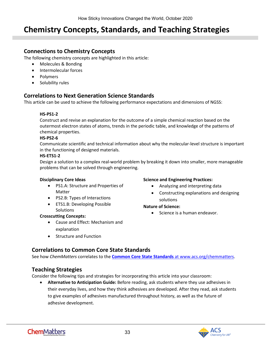# <span id="page-32-0"></span>**Chemistry Concepts, Standards, and Teaching Strategies**

## **Connections to Chemistry Concepts**

The following chemistry concepts are highlighted in this article:

- Molecules & Bonding
- Intermolecular forces
- Polymers
- Solubility rules

# **Correlations to Next Generation Science Standards**

This article can be used to achieve the following performance expectations and dimensions of NGSS:

#### **HS-PS1-2**

Construct and revise an explanation for the outcome of a simple chemical reaction based on the outermost electron states of atoms, trends in the periodic table, and knowledge of the patterns of chemical properties.

#### **HS-PS2-6**

Communicate scientific and technical information about why the molecular-level structure is important in the functioning of designed materials.

#### **HS-ETS1-2**

Design a solution to a complex real-world problem by breaking it down into smaller, more manageable problems that can be solved through engineering.

#### **Disciplinary Core Ideas**

- PS1.A: Structure and Properties of Matter
- PS2.B: Types of Interactions
- ETS1.B: Developing Possible **Solutions**

#### **Crosscutting Concepts:**

- Cause and Effect: Mechanism and explanation
- Structure and Function

#### **Science and Engineering Practices:**

- Analyzing and interpreting data
- Constructing explanations and designing solutions

#### **Nature of Science:**

• Science is a human endeavor.

# **Correlations to Common Core State Standards**

See how *ChemMatters* correlates to the **[Common Core State Standards](https://www.acs.org/content/acs/en/education/resources/highschool/chemmatters/teachers-guide.html)** at www.acs.org/chemmatters.

## **Teaching Strategies**

Consider the following tips and strategies for incorporating this article into your classroom:

• **Alternative to Anticipation Guide:** Before reading, ask students where they use adhesives in their everyday lives, and how they think adhesives are developed. After they read, ask students to give examples of adhesives manufactured throughout history, as well as the future of adhesive development.

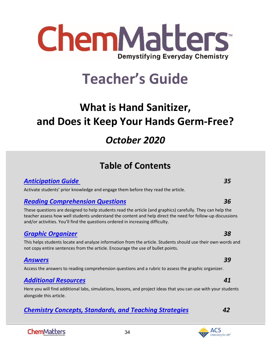

# **Teacher's Guide**

# <span id="page-33-0"></span>**What is Hand Sanitizer, and Does it Keep Your Hands Germ-Free?**

# *October 2020*

# **Table of Contents**

# *[Anticipation Guide 3](#page-34-0)5*

Activate students' prior knowledge and engage them before they read the article.

# *[Reading Comprehension Questions](#page-35-0) 36*

These questions are designed to help students read the article (and graphics) carefully. They can help the teacher assess how well students understand the content and help direct the need for follow-up discussions and/or activities. You'll find the questions ordered in increasing difficulty.

# *[Graphic Organizer](#page-36-0) 38*

This helps students locate and analyze information from the article. Students should use their own words and not copy entire sentences from the article. Encourage the use of bullet points.

# *[Answers](#page-38-0) 39*

Access the answers to reading comprehension questions and a rubric to assess the graphic organizer.

# *[Additional Resources](#page-40-0) 41*

Here you will find additional labs, simulations, lessons, and project ideas that you can use with your students alongside this article.

34

# *[Chemistry Concepts, Standards, and Teaching Strategies](#page-41-0) 42*

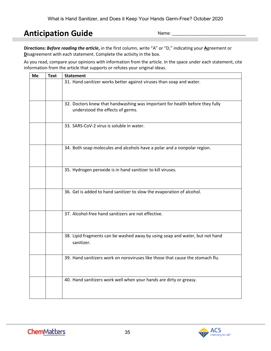# <span id="page-34-0"></span>**Anticipation Guide**

Name:

**Directions:** *Before reading the article***,** in the first column, write "A" or "D," indicating your **A**greement or **D**isagreement with each statement. Complete the activity in the box.

As you read, compare your opinions with information from the article. In the space under each statement, cite information from the article that supports or refutes your original ideas.

| Me | <b>Text</b> | <b>Statement</b>                                                                                                 |
|----|-------------|------------------------------------------------------------------------------------------------------------------|
|    |             | 31. Hand sanitizer works better against viruses than soap and water.                                             |
|    |             | 32. Doctors knew that handwashing was important for health before they fully<br>understood the effects of germs. |
|    |             | 33. SARS-CoV-2 virus is soluble in water.                                                                        |
|    |             | 34. Both soap molecules and alcohols have a polar and a nonpolar region.                                         |
|    |             | 35. Hydrogen peroxide is in hand sanitizer to kill viruses.                                                      |
|    |             | 36. Gel is added to hand sanitizer to slow the evaporation of alcohol.                                           |
|    |             | 37. Alcohol-free hand sanitizers are not effective.                                                              |
|    |             | 38. Lipid fragments can be washed away by using soap and water, but not hand<br>sanitizer.                       |
|    |             | 39. Hand sanitizers work on noroviruses like those that cause the stomach flu.                                   |
|    |             | 40. Hand sanitizers work well when your hands are dirty or greasy.                                               |

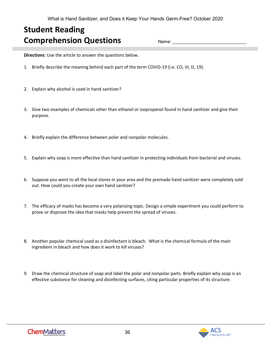# <span id="page-35-0"></span>**Student Reading Comprehension Questions**

Name:

**Directions**: Use the article to answer the questions below.

- 1. Briefly describe the meaning behind each part of the term COVID-19 (i.e. CO, VI, D, 19).
- 2. Explain why alcohol is used in hand sanitizer?
- 3. Give two examples of chemicals other than ethanol or isopropanol found in hand sanitizer and give their purpose.
- 4. Briefly explain the difference between polar and nonpolar molecules.
- 5. Explain why soap is more effective than hand sanitizer in protecting individuals from bacterial and viruses.
- 6. Suppose you went to all the local stores in your area and the premade hand sanitizer were completely sold out. How could you create your own hand sanitizer?
- 7. The efficacy of masks has become a very polarizing topic. Design a simple experiment you could perform to prove or disprove the idea that masks help prevent the spread of viruses.
- 8. Another popular chemical used as a disinfectant is bleach. What is the chemical formula of the main ingredient in bleach and how does it work to kill viruses?
- 9. Draw the chemical structure of soap and label the polar and nonpolar parts. Briefly explain why soap is an effective substance for cleaning and disinfecting surfaces, citing particular properties of its structure.

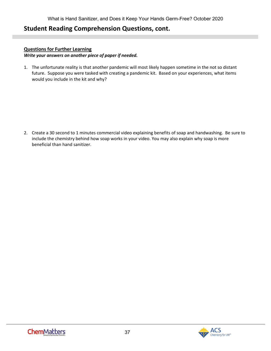# **Student Reading Comprehension Questions, cont.**

### **Questions for Further Learning**

*Write your answers on another piece of paper if needed.*

1. The unfortunate reality is that another pandemic will most likely happen sometime in the not so distant future. Suppose you were tasked with creating a pandemic kit. Based on your experiences, what items would you include in the kit and why?

<span id="page-36-0"></span>2. Create a 30 second to 1 minutes commercial video explaining benefits of soap and handwashing. Be sure to include the chemistry behind how soap works in your video. You may also explain why soap is more beneficial than hand sanitizer.

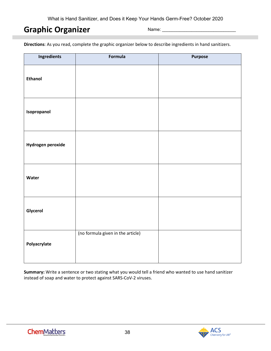# **Graphic Organizer**

Name:

**Directions**: As you read, complete the graphic organizer below to describe ingredients in hand sanitizers.

| <b>Ingredients</b> | Formula                           | Purpose |
|--------------------|-----------------------------------|---------|
| <b>Ethanol</b>     |                                   |         |
| Isopropanol        |                                   |         |
| Hydrogen peroxide  |                                   |         |
| Water              |                                   |         |
| Glycerol           |                                   |         |
| Polyacrylate       | (no formula given in the article) |         |

**Summary:** Write a sentence or two stating what you would tell a friend who wanted to use hand sanitizer instead of soap and water to protect against SARS-CoV-2 viruses.

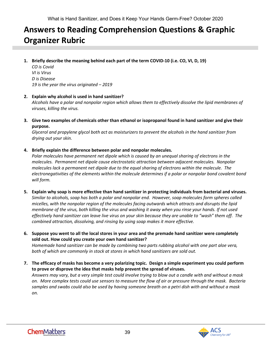# <span id="page-38-0"></span>**Answers to Reading Comprehension Questions & Graphic Organizer Rubric**

**1. Briefly describe the meaning behind each part of the term COVID-10 (i.e. CO, VI, D, 19)**

*CO is Covid VI is Virus D is Disease 19 is the year the virus originated – 2019*

**2. Explain why alcohol is used in hand sanitizer?** 

*Alcohols have a polar and nonpolar region which allows them to effectively dissolve the lipid membranes of viruses, killing the virus.* 

**3. Give two examples of chemicals other than ethanol or isopropanol found in hand sanitizer and give their purpose.** 

*Glycerol and propylene glycol both act as moisturizers to prevent the alcohols in the hand sanitizer from drying out your skin.* 

**4. Briefly explain the difference between polar and nonpolar molecules.** 

*Polar molecules have permanent net dipole which is caused by an unequal sharing of electrons in the molecules. Permanent net dipole cause electrostatic attraction between adjacent molecules. Nonpolar molecules lack a permanent net dipole due to the equal sharing of electrons within the molecule. The electronegativities of the elements within the molecule determines if a polar or nonpolar bond covalent bond will form.* 

- **5. Explain why soap is more effective than hand sanitizer in protecting individuals from bacterial and viruses.**  *Similar to alcohols, soap has both a polar and nonpolar end. However, soap molecules form spheres called micelles, with the nonpolar region of the molecules facing outwards which attracts and disrupts the lipid membrane of the virus, both killing the virus and washing it away when you rinse your hands. If not used effectively hand sanitizer can leave live virus on your skin because they are unable to "wash" them off. The combined attraction, dissolving, and rinsing by using soap makes it more effective.*
- **6. Suppose you went to all the local stores in your area and the premade hand sanitizer were completely sold out. How could you create your own hand sanitizer?**  *Homemade hand sanitizer can be made by combining two parts rubbing alcohol with one part aloe vera, both of which are commonly in stock at stores in which hand sanitizers are sold out.*
- **7. The efficacy of masks has become a very polarizing topic. Design a simple experiment you could perform to prove or disprove the idea that masks help prevent the spread of viruses.**  *Answers may vary, but a very simple test could involve trying to blow out a candle with and without a mask on. More complex tests could use sensors to measure the flow of air or pressure through the mask. Bacteria samples and swabs could also be used by having someone breath on a petri dish with and without a mask on.*

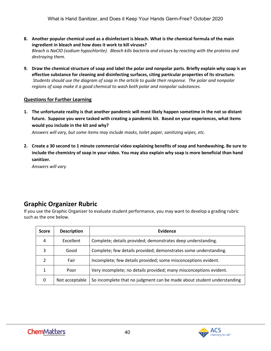- **8. Another popular chemical used as a disinfectant is bleach. What is the chemical formula of the main ingredient in bleach and how does it work to kill viruses?**  *Bleach is NaClO (sodium hypochlorite). Bleach kills bacteria and viruses by reacting with the proteins and destroying them.*
- **9. Draw the chemical structure of soap and label the polar and nonpolar parts. Briefly explain why soap is an effective substance for cleaning and disinfecting surfaces, citing particular properties of its structure.**  *Students should use the diagram of soap in the article to guide their response. The polar and nonpolar regions of soap make it a good chemical to wash both polar and nonpolar substances.*

### **Questions for Further Learning**

**1. The unfortunate reality is that another pandemic will most likely happen sometime in the not so distant future. Suppose you were tasked with creating a pandemic kit. Based on your experiences, what items would you include in the kit and why?** 

*Answers will vary, but some items may include masks, toilet paper, sanitizing wipes, etc.*

**2. Create a 30 second to 1 minute commercial video explaining benefits of soap and handwashing. Be sure to include the chemistry of soap in your video. You may also explain why soap is more beneficial than hand sanitizer.** 

*Answers will vary*

# **Graphic Organizer Rubric**

If you use the Graphic Organizer to evaluate student performance, you may want to develop a grading rubric such as the one below.

| <b>Score</b> | <b>Description</b> | Evidence                                                               |  |  |  |  |
|--------------|--------------------|------------------------------------------------------------------------|--|--|--|--|
| 4            | Excellent          | Complete; details provided; demonstrates deep understanding.           |  |  |  |  |
| 3            | Good               | Complete; few details provided; demonstrates some understanding.       |  |  |  |  |
|              | Fair               | Incomplete; few details provided; some misconceptions evident.         |  |  |  |  |
|              | Poor               | Very incomplete; no details provided; many misconceptions evident.     |  |  |  |  |
| 0            | Not acceptable     | So incomplete that no judgment can be made about student understanding |  |  |  |  |

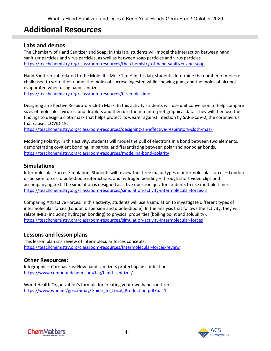# <span id="page-40-0"></span>**Additional Resources**

## **Labs and demos**

The Chemistry of Hand Sanitizer and Soap: In this lab, students will model the interaction between hand sanitizer particles and virus particles, as well as between soap particles and virus particles. <https://teachchemistry.org/classroom-resources/the-chemistry-of-hand-sanitizer-and-soap>

Hand Sanitizer Lab related to the Mole: It's Mole Time! In this lab, students determine the number of moles of chalk used to write their name, the moles of sucrose ingested while chewing gum, and the moles of alcohol evaporated when using hand sanitizer.

<https://teachchemistry.org/classroom-resources/it-s-mole-time>

Designing an Effective Respiratory Cloth Mask: In this activity students will use unit conversion to help compare sizes of molecules, viruses, and droplets and then use them to interpret graphical data. They will then use their findings to design a cloth mask that helps protect its wearer against infection by SARS-CoV-2, the coronavirus that causes COVID-19.

<https://teachchemistry.org/classroom-resources/designing-an-effective-respiratory-cloth-mask>

Modeling Polarity: In this activity, students will model the pull of electrons in a bond between two elements, demonstrating covalent bonding. In particular differentiating between polar and nonpolar bonds. <https://teachchemistry.org/classroom-resources/modeling-bond-polarity>

# **Simulations**

Intermolecular Forces Simulation: Students will review the three major types of intermolecular forces – London dispersion forces, dipole-dipole interactions, and hydrogen bonding – through short video clips and accompanying text. The simulation is designed as a five question quiz for students to use multiple times. <https://teachchemistry.org/classroom-resources/simulation-activity-intermolecular-forces-2>

Comparing Attractive Forces: In this activity, students will use a simulation to investigate different types of intermolecular forces (London dispersion and dipole-dipole). In the analysis that follows the activity, they will relate IMFs (including hydrogen bonding) to physical properties (boiling point and solubility). <https://teachchemistry.org/classroom-resources/simulation-activity-intermolecular-forces>

## **Lessons and lesson plans**

This lesson plan is a review of intermolecular forces concepts. <https://teachchemistry.org/classroom-resources/intermolecular-forces-review>

# **Other Resources:**

Infographic – Coronavirus: How hand sanitizers protect against infections: <https://www.compoundchem.com/tag/hand-sanitizer/>

World Health Organization's formula for creating your own hand sanitizer: [https://www.who.int/gpsc/5may/Guide\\_to\\_Local\\_Production.pdf?ua=1](https://www.who.int/gpsc/5may/Guide_to_Local_Production.pdf?ua=1)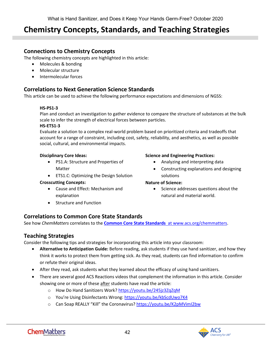# <span id="page-41-0"></span>**Chemistry Concepts, Standards, and Teaching Strategies**

# **Connections to Chemistry Concepts**

The following chemistry concepts are highlighted in this article:

- Molecules & bonding
- Molecular structure
- Intermolecular forces

# **Correlations to Next Generation Science Standards**

This article can be used to achieve the following performance expectations and dimensions of NGSS:

### **HS-PS1-3**

Plan and conduct an investigation to gather evidence to compare the structure of substances at the bulk scale to infer the strength of electrical forces between particles.

#### **HS-ETS1-3**

Evaluate a solution to a complex real-world problem based on prioritized criteria and tradeoffs that account for a range of constraint, including cost, safety, reliability, and aesthetics, as well as possible social, cultural, and environmental impacts.

#### **Disciplinary Core Ideas:**

- PS1.A: Structure and Properties of Matter
- ETS1.C: Optimizing the Design Solution

### **Crosscutting Concepts:**

- Cause and Effect: Mechanism and explanation
- Structure and Function

#### **Science and Engineering Practices:**

- Analyzing and interpreting data
- Constructing explanations and designing solutions

### **Nature of Science:**

• Science addresses questions about the natural and material world.

# **Correlations to Common Core State Standards**

See how *ChemMatters* correlates to the **[Common Core State Standards](https://www.acs.org/content/acs/en/education/resources/highschool/chemmatters/teachers-guide.html)** at www.acs.org/chemmatters.

# **Teaching Strategies**

Consider the following tips and strategies for incorporating this article into your classroom:

- **Alternative to Anticipation Guide:** Before reading, ask students if they use hand sanitizer, and how they think it works to protect them from getting sick. As they read, students can find information to confirm or refute their original ideas.
- After they read, ask students what they learned about the efficacy of using hand sanitizers.
- There are several good ACS Reactions videos that complement the information in this article. Consider showing one or more of these after students have read the article:
	- o How Do Hand Sanitizers Work[? https://youtu.be/245jz3ZqZqM](https://youtu.be/245jz3ZqZqM)
	- o You're Using Disinfectants Wrong:<https://youtu.be/kbScdUwo7K4>
	- o Can Soap REALLY "Kill" the Coronavirus?<https://youtu.be/K2pMVimI2bw>